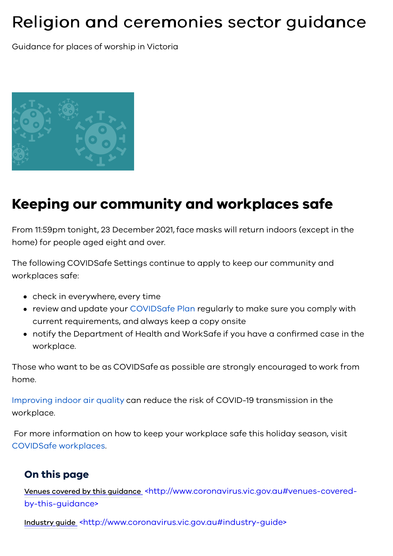# Religion and ceremonies sector guidance

Guidance for places of worship in Victoria



## **Keeping our community and workplaces safe**

From 11:59pm tonight, 23 December 2021, face masks will return indoors (except in the home) for people aged eight and over.

The following COVIDSafe Settings continue to apply to keep our community and workplaces safe:

- check in everywhere, every time
- review and update your [COVIDSafe Plan](https://www.coronavirus.vic.gov.au/covidsafe-plan) regularly to make sure you comply with current requirements, and always keep a copy onsite
- notify the Department of Health and WorkSafe if you have a confirmed case in the workplace.

Those who want to be as COVIDSafe as possible are strongly encouraged to work from home.

[Improving indoor air quality](https://www.coronavirus.vic.gov.au/six-principles-covidsafe-workplaces#improve-indoor-air-quality) can reduce the risk of COVID-19 transmission in the workplace.

 For more information on how to keep your workplace safe this holiday season, visit [COVIDSafe workplaces](https://www.coronavirus.vic.gov.au/covidsafe-workplaces).

#### **On this page**

Venues covered by this guidance [<http://www.coronavirus.vic.gov.au#venues-covered](#page-1-0)by-this-guidance>

Industry guide [<http://www.coronavirus.vic.gov.au#industry-guide>](#page-2-0)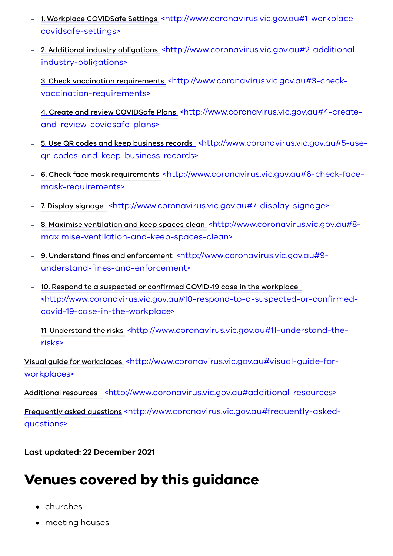- 1. Workplace COVIDSafe Settings [<http://www.coronavirus.vic.gov.au#1-workplace](#page-2-1)covidsafe-settings>
- L 2. Additional industry obligations [<http://www.coronavirus.vic.gov.au#2-additional](#page-2-2)industry-obligations>
- L 3. Check vaccination requirements [<http://www.coronavirus.vic.gov.au#3-check](#page-2-3)vaccination-requirements>
- $\perp$  4. Create and review COVIDSafe Plans [<http://www.coronavirus.vic.gov.au#4-create](#page-3-0)and-review-covidsafe-plans>
- 5. Use QR codes and keep business records [<http://www.coronavirus.vic.gov.au#5-use](#page-3-1)qr-codes-and-keep-business-records>
- L 6. Check face mask requirements [<http://www.coronavirus.vic.gov.au#6-check-face](#page-3-2)mask-requirements>
- L 7. Display signage [<http://www.coronavirus.vic.gov.au#7-display-signage>](#page-4-0)
- L 8. Maximise ventilation and keep spaces clean <http://www.coronavirus.vic.gov.au#8[maximise-ventilation-and-keep-spaces-clean>](#page-4-1)
- $L$  9. Understand fines and enforcement [<http://www.coronavirus.vic.gov.au#9](#page-4-2) understand-fines-and-enforcement>
- $\perp$  10. Respond to a suspected or confirmed COVID-19 case in the workplace [<http://www.coronavirus.vic.gov.au#10-respond-to-a-suspected-or-confirmed](#page-4-3)covid-19-case-in-the-workplace>
- **□ 11. Understand the risks\_[<http://www.coronavirus.vic.gov.au#11-understand-the](#page-5-0)**risks>

Visual guide for workplaces [<http://www.coronavirus.vic.gov.au#visual-guide-for](#page-5-1)workplaces>

Additional resources [<http://www.coronavirus.vic.gov.au#additional-resources>](#page-5-2)

Frequently asked questions [<http://www.coronavirus.vic.gov.au#frequently-asked](#page-5-3)questions>

**Last updated: 22 December 2021** 

## <span id="page-1-0"></span>**Venues covered by this guidance**

- churches
- meeting houses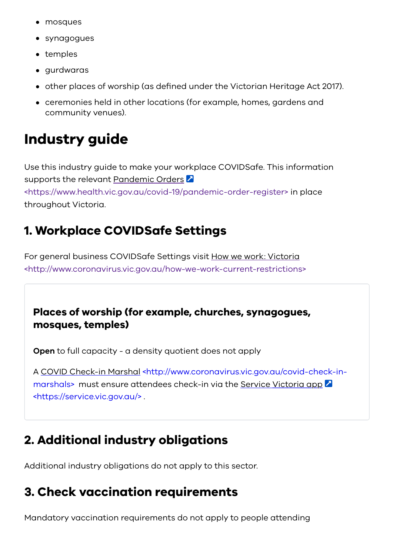- mosques
- synagogues
- temples
- aurdwaras
- other places of worship (as defined under the Victorian Heritage Act 2017).
- ceremonies held in other locations (for example, homes, gardens and community venues).

# <span id="page-2-0"></span>**Industry guide**

Use this industry guide to make your workplace COVIDSafe. This information supports the relevant Pandemic Orders [<https://www.health.vic.gov.au/covid-19/pandemic-order-register>](https://www.health.vic.gov.au/covid-19/pandemic-order-register) in place throughout Victoria.

### <span id="page-2-1"></span>**1. Workplace COVIDSafe Settings**

For general business COVIDSafe Settings visit How we work: Victoria [<http://www.coronavirus.vic.gov.au/how-we-work-current-restrictions>](https://www.coronavirus.vic.gov.au/how-we-work-current-restrictions)

#### **Places of worship (for example, churches, synagogues, mosques, temples)**

**Open** to full capacity - a density quotient does not apply

[A COVID Check-in Marshal <http://www.coronavirus.vic.gov.au/covid-check-in](https://www.coronavirus.vic.gov.au/covid-check-in-marshals)[marshals> must ensure attendees check-in via the Service](https://service.vic.gov.au/) Victoria app <https://service.vic.gov.au/> .

### <span id="page-2-2"></span>**2. Additional industry obligations**

Additional industry obligations do not apply to this sector.

#### <span id="page-2-3"></span>**3. Check vaccination requirements**

Mandatory vaccination requirements do not apply to people attending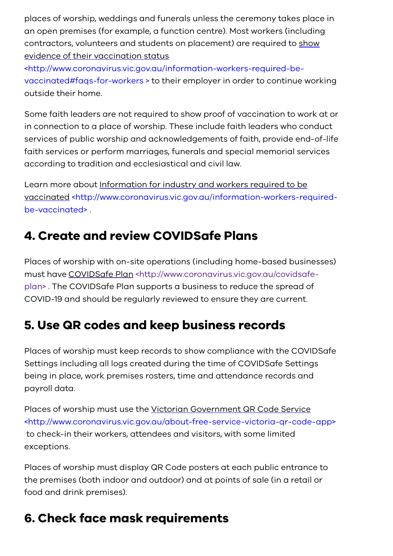places of worship, weddings and funerals unless the ceremony takes place in an open premises (for example, a function centre). Most workers (including [contractors, volunteers and students on placement\) are required to show](https://www.coronavirus.vic.gov.au/information-workers-required-be-vaccinated#faqs-for-workers%20) evidence of their vaccination status

<http://www.coronavirus.vic.gov.au/information-workers-required-bevaccinated#faqs-for-workers > to their employer in order to continue working outside their home.

Some faith leaders are not required to show proof of vaccination to work at or in connection to a place of worship. These include faith leaders who conduct services of public worship and acknowledgements of faith, provide end-of-life faith services or perform marriages, funerals and special memorial services according to tradition and ecclesiastical and civil law.

Learn more about Information for industry and workers required to be [vaccinated <http://www.coronavirus.vic.gov.au/information-workers-required](https://www.coronavirus.vic.gov.au/information-workers-required-be-vaccinated)be-vaccinated> .

### <span id="page-3-0"></span>**4. Create and review COVIDSafe Plans**

Places of worship with on-site operations (including home-based businesses) must have COVIDSafe Plan <http://www.coronavirus.vic.gov.au/covidsafe[plan> . The COVIDSafe Plan supports a business to reduce the spread of](https://www.coronavirus.vic.gov.au/covidsafe-plan) COVID-19 and should be regularly reviewed to ensure they are current.

## <span id="page-3-1"></span>**5. Use QR codes and keep business records**

Places of worship must keep records to show compliance with the COVIDSafe Settings including all logs created during the time of COVIDSafe Settings being in place, work premises rosters, time and attendance records and payroll data.

Places of worship must use the Victorian Government QR Code Service [<http://www.coronavirus.vic.gov.au/about-free-service-victoria-qr-code-app>](https://www.coronavirus.vic.gov.au/about-free-service-victoria-qr-code-app) to check-in their workers, attendees and visitors, with some limited exceptions.

Places of worship must display QR Code posters at each public entrance to the premises (both indoor and outdoor) and at points of sale (in a retail or food and drink premises).

## <span id="page-3-2"></span>**6. Check face mask requirements**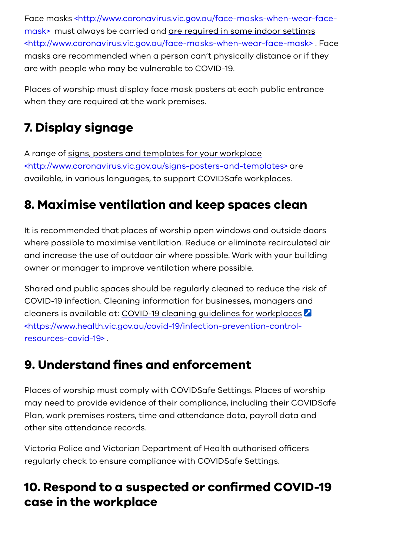[Face masks <http://www.coronavirus.vic.gov.au/face-masks-when-wear-face](https://www.coronavirus.vic.gov.au/face-masks-when-wear-face-mask)mask> must always be carried and are required in some indoor settings [<http://www.coronavirus.vic.gov.au/face-masks-when-wear-face-mask> .](https://www.coronavirus.vic.gov.au/face-masks-when-wear-face-mask) Face masks are recommended when a person can't physically distance or if they are with people who may be vulnerable to COVID-19.

Places of worship must display face mask posters at each public entrance when they are required at the work premises.

## <span id="page-4-0"></span>**7. Display signage**

A range of signs, posters and templates for your workplace [<http://www.coronavirus.vic.gov.au/signs-posters-and-templates> a](https://www.coronavirus.vic.gov.au/signs-posters-and-templates)re available, in various languages, to support COVIDSafe workplaces.

## <span id="page-4-1"></span>**8. Maximise ventilation and keep spaces clean**

It is recommended that places of worship open windows and outside doors where possible to maximise ventilation. Reduce or eliminate recirculated air and increase the use of outdoor air where possible. Work with your building owner or manager to improve ventilation where possible.

Shared and public spaces should be regularly cleaned to reduce the risk of COVID-19 infection. Cleaning information for businesses, managers and cleaners is available at: COVID-19 cleaning guidelines for workplaces [<https://www.health.vic.gov.au/covid-19/infection-prevention-control](https://www.health.vic.gov.au/covid-19/infection-prevention-control-resources-covid-19)resources-covid-19> .

#### <span id="page-4-2"></span>**9. Understand fines and enforcement**

Places of worship must comply with COVIDSafe Settings. Places of worship may need to provide evidence of their compliance, including their COVIDSafe Plan, work premises rosters, time and attendance data, payroll data and other site attendance records.

Victoria Police and Victorian Department of Health authorised officers regularly check to ensure compliance with COVIDSafe Settings.

#### <span id="page-4-3"></span>**10. Respond to a suspected or confirmed COVID-19 case in the workplace**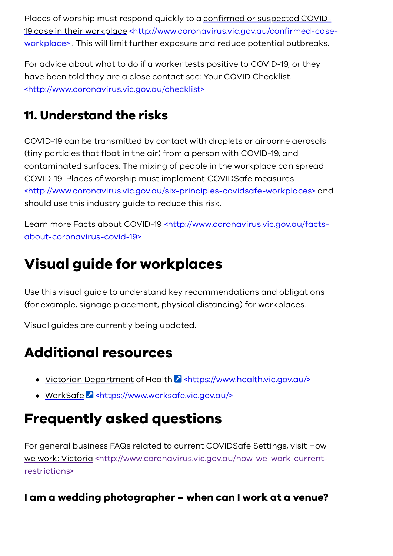Places of worship must respond quickly to a confirmed or suspected COVID-19 case in their workplace <http://www.coronavirus.vic.gov.au/confirmed-case[workplace> . This will limit further exposure and reduce potential outbreaks.](https://www.coronavirus.vic.gov.au/confirmed-case-workplace)

For advice about what to do if a worker tests positive to COVID-19, or they [have been told they are a close contact see: Your COVID Checklist.](https://www.coronavirus.vic.gov.au/checklist) <http://www.coronavirus.vic.gov.au/checklist>

## <span id="page-5-0"></span>**11. Understand the risks**

COVID-19 can be transmitted by contact with droplets or airborne aerosols (tiny particles that float in the air) from a person with COVID-19, and contaminated surfaces. The mixing of people in the workplace can spread COVID-19. Places of worship must implement COVIDSafe measures [<http://www.coronavirus.vic.gov.au/six-principles-covidsafe-workplaces>](https://www.coronavirus.vic.gov.au/six-principles-covidsafe-workplaces) and should use this industry guide to reduce this risk.

[Learn more Facts about COVID-19 <http://www.coronavirus.vic.gov.au/facts](https://www.coronavirus.vic.gov.au/facts-about-coronavirus-covid-19)about-coronavirus-covid-19> .

# <span id="page-5-1"></span>**Visual guide for workplaces**

Use this visual guide to understand key recommendations and obligations (for example, signage placement, physical distancing) for workplaces.

Visual guides are currently being updated.

# <span id="page-5-2"></span>**Additional resources**

- Victorian Department of Health 2 <https://www.health.vic.gov.au/>
- WorkSafe **2** <https://www.worksafe.vic.gov.au/>

# <span id="page-5-3"></span>**Frequently asked questions**

For general business FAQs related to current COVIDSafe Settings, visit How [we work: Victoria <http://www.coronavirus.vic.gov.au/how-we-work-current](https://www.coronavirus.vic.gov.au/how-we-work-current-restrictions)restrictions>

#### **I am a wedding photographer – when can I work at a venue?**